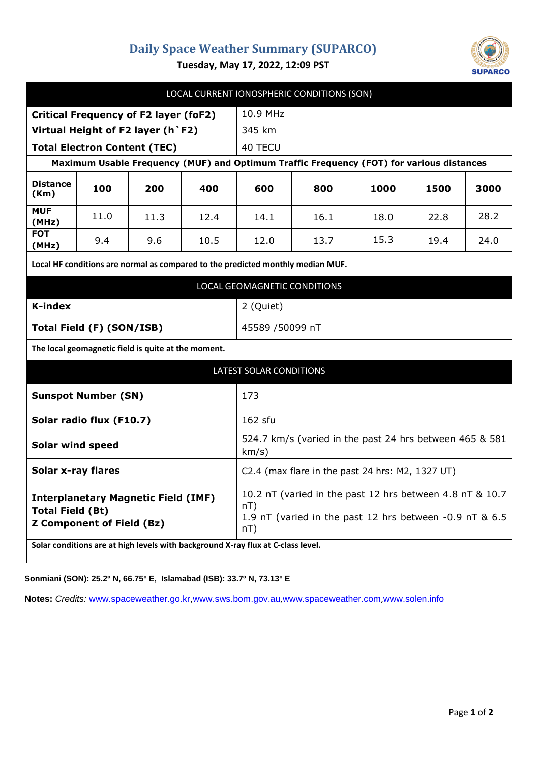## **Daily Space Weather Summary (SUPARCO)**



**Tuesday, May 17, 2022, 12:09 PST**

| LOCAL CURRENT IONOSPHERIC CONDITIONS (SON)                                                                |      |      |      |                                                                                                                                   |      |      |      |      |
|-----------------------------------------------------------------------------------------------------------|------|------|------|-----------------------------------------------------------------------------------------------------------------------------------|------|------|------|------|
| <b>Critical Frequency of F2 layer (foF2)</b>                                                              |      |      |      | 10.9 MHz                                                                                                                          |      |      |      |      |
| Virtual Height of F2 layer (h `F2)                                                                        |      |      |      | 345 km                                                                                                                            |      |      |      |      |
| <b>Total Electron Content (TEC)</b>                                                                       |      |      |      | 40 TECU                                                                                                                           |      |      |      |      |
| Maximum Usable Frequency (MUF) and Optimum Traffic Frequency (FOT) for various distances                  |      |      |      |                                                                                                                                   |      |      |      |      |
| <b>Distance</b><br>(Km)                                                                                   | 100  | 200  | 400  | 600                                                                                                                               | 800  | 1000 | 1500 | 3000 |
| <b>MUF</b><br>(MHz)                                                                                       | 11.0 | 11.3 | 12.4 | 14.1                                                                                                                              | 16.1 | 18.0 | 22.8 | 28.2 |
| <b>FOT</b><br>(MHz)                                                                                       | 9.4  | 9.6  | 10.5 | 12.0                                                                                                                              | 13.7 | 15.3 | 19.4 | 24.0 |
| Local HF conditions are normal as compared to the predicted monthly median MUF.                           |      |      |      |                                                                                                                                   |      |      |      |      |
| LOCAL GEOMAGNETIC CONDITIONS                                                                              |      |      |      |                                                                                                                                   |      |      |      |      |
| <b>K-index</b>                                                                                            |      |      |      | 2 (Quiet)                                                                                                                         |      |      |      |      |
| Total Field (F) (SON/ISB)                                                                                 |      |      |      | 45589 /50099 nT                                                                                                                   |      |      |      |      |
| The local geomagnetic field is quite at the moment.                                                       |      |      |      |                                                                                                                                   |      |      |      |      |
| <b>LATEST SOLAR CONDITIONS</b>                                                                            |      |      |      |                                                                                                                                   |      |      |      |      |
| <b>Sunspot Number (SN)</b>                                                                                |      |      |      | 173                                                                                                                               |      |      |      |      |
| Solar radio flux (F10.7)                                                                                  |      |      |      | 162 sfu                                                                                                                           |      |      |      |      |
| <b>Solar wind speed</b>                                                                                   |      |      |      | 524.7 km/s (varied in the past 24 hrs between 465 & 581<br>km/s)                                                                  |      |      |      |      |
| <b>Solar x-ray flares</b>                                                                                 |      |      |      | C2.4 (max flare in the past 24 hrs: M2, 1327 UT)                                                                                  |      |      |      |      |
| <b>Interplanetary Magnetic Field (IMF)</b><br><b>Total Field (Bt)</b><br><b>Z Component of Field (Bz)</b> |      |      |      | 10.2 nT (varied in the past 12 hrs between 4.8 nT & 10.7<br>nT)<br>1.9 nT (varied in the past 12 hrs between -0.9 nT & 6.5<br>nT) |      |      |      |      |
| Solar conditions are at high levels with background X-ray flux at C-class level.                          |      |      |      |                                                                                                                                   |      |      |      |      |

**Sonmiani (SON): 25.2º N, 66.75º E, Islamabad (ISB): 33.7º N, 73.13º E**

**Notes:** *Credits:* [www.spaceweather.go.kr,](http://www.spaceweather.go.kr/)[www.sws.bom.gov.au](http://www.sws.bom.gov.au/),[www.spaceweather.com](http://www.spaceweather.com/),[www.solen.info](http://www.solen.info/)